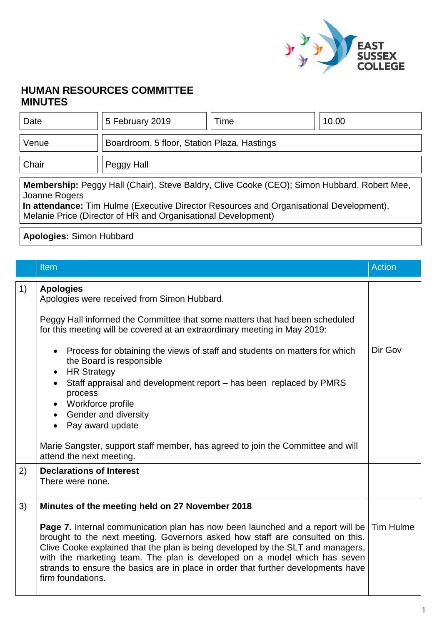

## **HUMAN RESOURCES COMMITTEE MINUTES**

| Date                                                                                                                                                                                                                                                                            | 5 February 2019                             | Time | 10.00 |  |  |  |
|---------------------------------------------------------------------------------------------------------------------------------------------------------------------------------------------------------------------------------------------------------------------------------|---------------------------------------------|------|-------|--|--|--|
| Venue                                                                                                                                                                                                                                                                           | Boardroom, 5 floor, Station Plaza, Hastings |      |       |  |  |  |
| Chair                                                                                                                                                                                                                                                                           | Peggy Hall                                  |      |       |  |  |  |
| <b>Membership:</b> Peggy Hall (Chair), Steve Baldry, Clive Cooke (CEO); Simon Hubbard, Robert Mee,<br>Joanne Rogers<br>In attendance: Tim Hulme (Executive Director Resources and Organisational Development),<br>Melanie Price (Director of HR and Organisational Development) |                                             |      |       |  |  |  |

## **Apologies:** Simon Hubbard

|    | <b>Item</b>                                                                                                                                                                                                                                                                                                                                                                                                                                           | <b>Action</b> |
|----|-------------------------------------------------------------------------------------------------------------------------------------------------------------------------------------------------------------------------------------------------------------------------------------------------------------------------------------------------------------------------------------------------------------------------------------------------------|---------------|
| 1) | <b>Apologies</b><br>Apologies were received from Simon Hubbard.                                                                                                                                                                                                                                                                                                                                                                                       |               |
|    | Peggy Hall informed the Committee that some matters that had been scheduled<br>for this meeting will be covered at an extraordinary meeting in May 2019:                                                                                                                                                                                                                                                                                              |               |
|    | Process for obtaining the views of staff and students on matters for which<br>$\bullet$<br>the Board is responsible<br><b>HR Strategy</b><br>$\bullet$                                                                                                                                                                                                                                                                                                | Dir Gov       |
|    | Staff appraisal and development report – has been replaced by PMRS<br>process<br>Workforce profile                                                                                                                                                                                                                                                                                                                                                    |               |
|    | • Gender and diversity<br>Pay award update                                                                                                                                                                                                                                                                                                                                                                                                            |               |
|    | Marie Sangster, support staff member, has agreed to join the Committee and will<br>attend the next meeting.                                                                                                                                                                                                                                                                                                                                           |               |
| 2) | <b>Declarations of Interest</b><br>There were none.                                                                                                                                                                                                                                                                                                                                                                                                   |               |
| 3) | Minutes of the meeting held on 27 November 2018                                                                                                                                                                                                                                                                                                                                                                                                       |               |
|    | Page 7. Internal communication plan has now been launched and a report will be   Tim Hulme<br>brought to the next meeting. Governors asked how staff are consulted on this.<br>Clive Cooke explained that the plan is being developed by the SLT and managers,<br>with the marketing team. The plan is developed on a model which has seven<br>strands to ensure the basics are in place in order that further developments have<br>firm foundations. |               |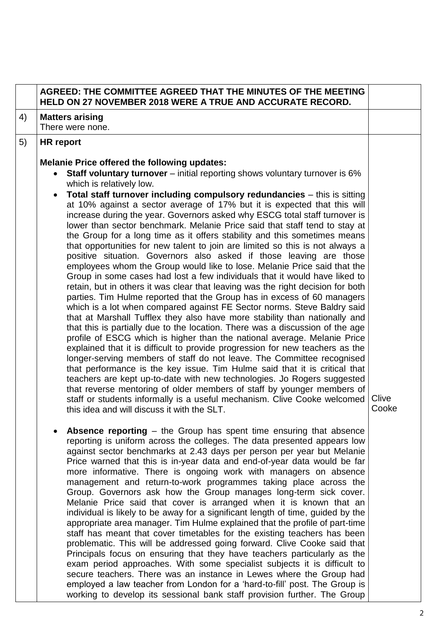|    | AGREED: THE COMMITTEE AGREED THAT THE MINUTES OF THE MEETING<br><b>HELD ON 27 NOVEMBER 2018 WERE A TRUE AND ACCURATE RECORD.</b>                                                                                                                                                                                                                                                                                                                                                                                                                                                                                                                                                                                                                                                                                                                                                                                                                                                                                                                                                                                                                                                                                                                                                                                                                                                                                                                                                                                                                                                                                                                                                                                                                                                                                                                                                                                                                                                                                                                                                                                                                                                                                                                                                                                                                                                                                                                                                                                                                                                                                                                                                                                                                       |                |
|----|--------------------------------------------------------------------------------------------------------------------------------------------------------------------------------------------------------------------------------------------------------------------------------------------------------------------------------------------------------------------------------------------------------------------------------------------------------------------------------------------------------------------------------------------------------------------------------------------------------------------------------------------------------------------------------------------------------------------------------------------------------------------------------------------------------------------------------------------------------------------------------------------------------------------------------------------------------------------------------------------------------------------------------------------------------------------------------------------------------------------------------------------------------------------------------------------------------------------------------------------------------------------------------------------------------------------------------------------------------------------------------------------------------------------------------------------------------------------------------------------------------------------------------------------------------------------------------------------------------------------------------------------------------------------------------------------------------------------------------------------------------------------------------------------------------------------------------------------------------------------------------------------------------------------------------------------------------------------------------------------------------------------------------------------------------------------------------------------------------------------------------------------------------------------------------------------------------------------------------------------------------------------------------------------------------------------------------------------------------------------------------------------------------------------------------------------------------------------------------------------------------------------------------------------------------------------------------------------------------------------------------------------------------------------------------------------------------------------------------------------------------|----------------|
| 4) | <b>Matters arising</b><br>There were none.                                                                                                                                                                                                                                                                                                                                                                                                                                                                                                                                                                                                                                                                                                                                                                                                                                                                                                                                                                                                                                                                                                                                                                                                                                                                                                                                                                                                                                                                                                                                                                                                                                                                                                                                                                                                                                                                                                                                                                                                                                                                                                                                                                                                                                                                                                                                                                                                                                                                                                                                                                                                                                                                                                             |                |
| 5) | HR report                                                                                                                                                                                                                                                                                                                                                                                                                                                                                                                                                                                                                                                                                                                                                                                                                                                                                                                                                                                                                                                                                                                                                                                                                                                                                                                                                                                                                                                                                                                                                                                                                                                                                                                                                                                                                                                                                                                                                                                                                                                                                                                                                                                                                                                                                                                                                                                                                                                                                                                                                                                                                                                                                                                                              |                |
|    | <b>Melanie Price offered the following updates:</b><br><b>Staff voluntary turnover</b> – initial reporting shows voluntary turnover is 6%<br>which is relatively low.<br>Total staff turnover including compulsory redundancies - this is sitting<br>at 10% against a sector average of 17% but it is expected that this will<br>increase during the year. Governors asked why ESCG total staff turnover is<br>lower than sector benchmark. Melanie Price said that staff tend to stay at<br>the Group for a long time as it offers stability and this sometimes means<br>that opportunities for new talent to join are limited so this is not always a<br>positive situation. Governors also asked if those leaving are those<br>employees whom the Group would like to lose. Melanie Price said that the<br>Group in some cases had lost a few individuals that it would have liked to<br>retain, but in others it was clear that leaving was the right decision for both<br>parties. Tim Hulme reported that the Group has in excess of 60 managers<br>which is a lot when compared against FE Sector norms. Steve Baldry said<br>that at Marshall Tufflex they also have more stability than nationally and<br>that this is partially due to the location. There was a discussion of the age<br>profile of ESCG which is higher than the national average. Melanie Price<br>explained that it is difficult to provide progression for new teachers as the<br>longer-serving members of staff do not leave. The Committee recognised<br>that performance is the key issue. Tim Hulme said that it is critical that<br>teachers are kept up-to-date with new technologies. Jo Rogers suggested<br>that reverse mentoring of older members of staff by younger members of<br>staff or students informally is a useful mechanism. Clive Cooke welcomed<br>this idea and will discuss it with the SLT.<br><b>Absence reporting</b> $-$ the Group has spent time ensuring that absence<br>reporting is uniform across the colleges. The data presented appears low<br>against sector benchmarks at 2.43 days per person per year but Melanie<br>Price warned that this is in-year data and end-of-year data would be far<br>more informative. There is ongoing work with managers on absence<br>management and return-to-work programmes taking place across the<br>Group. Governors ask how the Group manages long-term sick cover.<br>Melanie Price said that cover is arranged when it is known that an<br>individual is likely to be away for a significant length of time, guided by the<br>appropriate area manager. Tim Hulme explained that the profile of part-time<br>staff has meant that cover timetables for the existing teachers has been | Clive<br>Cooke |
|    | problematic. This will be addressed going forward. Clive Cooke said that<br>Principals focus on ensuring that they have teachers particularly as the                                                                                                                                                                                                                                                                                                                                                                                                                                                                                                                                                                                                                                                                                                                                                                                                                                                                                                                                                                                                                                                                                                                                                                                                                                                                                                                                                                                                                                                                                                                                                                                                                                                                                                                                                                                                                                                                                                                                                                                                                                                                                                                                                                                                                                                                                                                                                                                                                                                                                                                                                                                                   |                |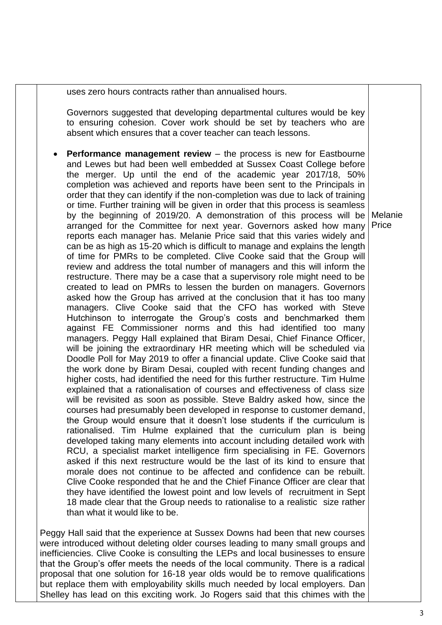uses zero hours contracts rather than annualised hours.

Governors suggested that developing departmental cultures would be key to ensuring cohesion. Cover work should be set by teachers who are absent which ensures that a cover teacher can teach lessons.

 **Performance management review** – the process is new for Eastbourne and Lewes but had been well embedded at Sussex Coast College before the merger. Up until the end of the academic year 2017/18, 50% completion was achieved and reports have been sent to the Principals in order that they can identify if the non-completion was due to lack of training or time. Further training will be given in order that this process is seamless by the beginning of 2019/20. A demonstration of this process will be Melanie arranged for the Committee for next year. Governors asked how many reports each manager has. Melanie Price said that this varies widely and can be as high as 15-20 which is difficult to manage and explains the length of time for PMRs to be completed. Clive Cooke said that the Group will review and address the total number of managers and this will inform the restructure. There may be a case that a supervisory role might need to be created to lead on PMRs to lessen the burden on managers. Governors asked how the Group has arrived at the conclusion that it has too many managers. Clive Cooke said that the CFO has worked with Steve Hutchinson to interrogate the Group's costs and benchmarked them against FE Commissioner norms and this had identified too many managers. Peggy Hall explained that Biram Desai, Chief Finance Officer, will be joining the extraordinary HR meeting which will be scheduled via Doodle Poll for May 2019 to offer a financial update. Clive Cooke said that the work done by Biram Desai, coupled with recent funding changes and higher costs, had identified the need for this further restructure. Tim Hulme explained that a rationalisation of courses and effectiveness of class size will be revisited as soon as possible. Steve Baldry asked how, since the courses had presumably been developed in response to customer demand, the Group would ensure that it doesn't lose students if the curriculum is rationalised. Tim Hulme explained that the curriculum plan is being developed taking many elements into account including detailed work with RCU, a specialist market intelligence firm specialising in FE. Governors asked if this next restructure would be the last of its kind to ensure that morale does not continue to be affected and confidence can be rebuilt. Clive Cooke responded that he and the Chief Finance Officer are clear that they have identified the lowest point and low levels of recruitment in Sept 18 made clear that the Group needs to rationalise to a realistic size rather than what it would like to be. Price

Peggy Hall said that the experience at Sussex Downs had been that new courses were introduced without deleting older courses leading to many small groups and inefficiencies. Clive Cooke is consulting the LEPs and local businesses to ensure that the Group's offer meets the needs of the local community. There is a radical proposal that one solution for 16-18 year olds would be to remove qualifications but replace them with employability skills much needed by local employers. Dan Shelley has lead on this exciting work. Jo Rogers said that this chimes with the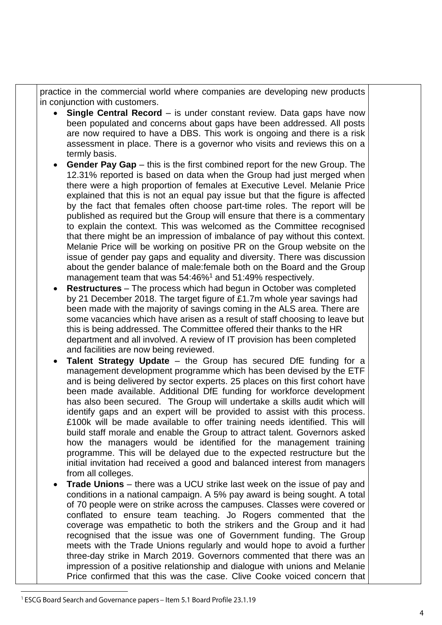practice in the commercial world where companies are developing new products in conjunction with customers.

- **Single Central Record** is under constant review. Data gaps have now been populated and concerns about gaps have been addressed. All posts are now required to have a DBS. This work is ongoing and there is a risk assessment in place. There is a governor who visits and reviews this on a termly basis.
- **Gender Pay Gap** this is the first combined report for the new Group. The 12.31% reported is based on data when the Group had just merged when there were a high proportion of females at Executive Level. Melanie Price explained that this is not an equal pay issue but that the figure is affected by the fact that females often choose part-time roles. The report will be published as required but the Group will ensure that there is a commentary to explain the context. This was welcomed as the Committee recognised that there might be an impression of imbalance of pay without this context. Melanie Price will be working on positive PR on the Group website on the issue of gender pay gaps and equality and diversity. There was discussion about the gender balance of male:female both on the Board and the Group management team that was 54:46%<sup>1</sup> and 51:49% respectively.
- **Restructures** The process which had begun in October was completed by 21 December 2018. The target figure of £1.7m whole year savings had been made with the majority of savings coming in the ALS area. There are some vacancies which have arisen as a result of staff choosing to leave but this is being addressed. The Committee offered their thanks to the HR department and all involved. A review of IT provision has been completed and facilities are now being reviewed.
- **Talent Strategy Update** the Group has secured DfE funding for a management development programme which has been devised by the ETF and is being delivered by sector experts. 25 places on this first cohort have been made available. Additional DfE funding for workforce development has also been secured. The Group will undertake a skills audit which will identify gaps and an expert will be provided to assist with this process. £100k will be made available to offer training needs identified. This will build staff morale and enable the Group to attract talent. Governors asked how the managers would be identified for the management training programme. This will be delayed due to the expected restructure but the initial invitation had received a good and balanced interest from managers from all colleges.
- **Trade Unions** there was a UCU strike last week on the issue of pay and conditions in a national campaign. A 5% pay award is being sought. A total of 70 people were on strike across the campuses. Classes were covered or conflated to ensure team teaching. Jo Rogers commented that the coverage was empathetic to both the strikers and the Group and it had recognised that the issue was one of Government funding. The Group meets with the Trade Unions regularly and would hope to avoid a further three-day strike in March 2019. Governors commented that there was an impression of a positive relationship and dialogue with unions and Melanie Price confirmed that this was the case. Clive Cooke voiced concern that

<sup>&</sup>lt;sup>1</sup> ESCG Board Search and Governance papers - Item 5.1 Board Profile 23.1.19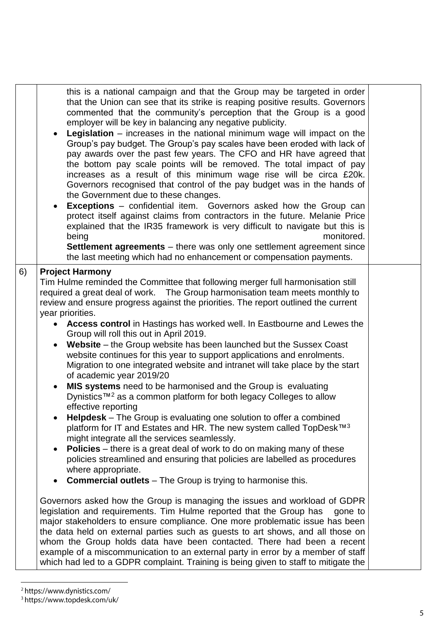|    | this is a national campaign and that the Group may be targeted in order<br>that the Union can see that its strike is reaping positive results. Governors<br>commented that the community's perception that the Group is a good<br>employer will be key in balancing any negative publicity.<br><b>Legislation</b> – increases in the national minimum wage will impact on the<br>Group's pay budget. The Group's pay scales have been eroded with lack of<br>pay awards over the past few years. The CFO and HR have agreed that<br>the bottom pay scale points will be removed. The total impact of pay<br>increases as a result of this minimum wage rise will be circa £20k.<br>Governors recognised that control of the pay budget was in the hands of<br>the Government due to these changes.<br><b>Exceptions</b> – confidential item. Governors asked how the Group can<br>protect itself against claims from contractors in the future. Melanie Price<br>explained that the IR35 framework is very difficult to navigate but this is<br>monitored.<br>being<br><b>Settlement agreements</b> – there was only one settlement agreement since<br>the last meeting which had no enhancement or compensation payments.                                                                                                                                                                                                                                                                                                                                                                                                                                                                                                                                                                                                                                                                                                       |  |
|----|----------------------------------------------------------------------------------------------------------------------------------------------------------------------------------------------------------------------------------------------------------------------------------------------------------------------------------------------------------------------------------------------------------------------------------------------------------------------------------------------------------------------------------------------------------------------------------------------------------------------------------------------------------------------------------------------------------------------------------------------------------------------------------------------------------------------------------------------------------------------------------------------------------------------------------------------------------------------------------------------------------------------------------------------------------------------------------------------------------------------------------------------------------------------------------------------------------------------------------------------------------------------------------------------------------------------------------------------------------------------------------------------------------------------------------------------------------------------------------------------------------------------------------------------------------------------------------------------------------------------------------------------------------------------------------------------------------------------------------------------------------------------------------------------------------------------------------------------------------------------------------------------------------------------------------|--|
| 6) | <b>Project Harmony</b><br>Tim Hulme reminded the Committee that following merger full harmonisation still<br>required a great deal of work.  The Group harmonisation team meets monthly to<br>review and ensure progress against the priorities. The report outlined the current<br>year priorities.<br>• Access control in Hastings has worked well. In Eastbourne and Lewes the<br>Group will roll this out in April 2019.<br>Website – the Group website has been launched but the Sussex Coast<br>website continues for this year to support applications and enrolments.<br>Migration to one integrated website and intranet will take place by the start<br>of academic year 2019/20<br>MIS systems need to be harmonised and the Group is evaluating<br>Dynistics™ <sup>2</sup> as a common platform for both legacy Colleges to allow<br>effective reporting<br>Helpdesk - The Group is evaluating one solution to offer a combined<br>platform for IT and Estates and HR. The new system called TopDesk™ <sup>3</sup><br>might integrate all the services seamlessly.<br><b>Policies</b> – there is a great deal of work to do on making many of these<br>policies streamlined and ensuring that policies are labelled as procedures<br>where appropriate.<br><b>Commercial outlets</b> – The Group is trying to harmonise this.<br>Governors asked how the Group is managing the issues and workload of GDPR<br>legislation and requirements. Tim Hulme reported that the Group has<br>gone to<br>major stakeholders to ensure compliance. One more problematic issue has been<br>the data held on external parties such as guests to art shows, and all those on<br>whom the Group holds data have been contacted. There had been a recent<br>example of a miscommunication to an external party in error by a member of staff<br>which had led to a GDPR complaint. Training is being given to staff to mitigate the |  |

<sup>&</sup>lt;sup>2</sup> https://www.dynistics.com/<br><sup>3</sup> https://www.topdesk.com/uk/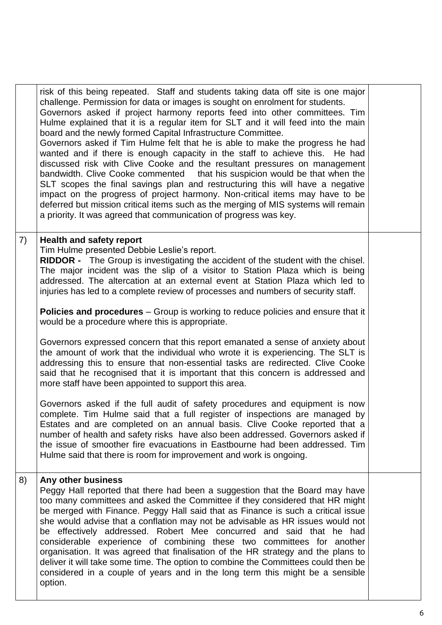|    | risk of this being repeated. Staff and students taking data off site is one major<br>challenge. Permission for data or images is sought on enrolment for students.<br>Governors asked if project harmony reports feed into other committees. Tim<br>Hulme explained that it is a regular item for SLT and it will feed into the main<br>board and the newly formed Capital Infrastructure Committee.<br>Governors asked if Tim Hulme felt that he is able to make the progress he had<br>wanted and if there is enough capacity in the staff to achieve this. He had<br>discussed risk with Clive Cooke and the resultant pressures on management<br>bandwidth. Clive Cooke commented that his suspicion would be that when the<br>SLT scopes the final savings plan and restructuring this will have a negative<br>impact on the progress of project harmony. Non-critical items may have to be<br>deferred but mission critical items such as the merging of MIS systems will remain<br>a priority. It was agreed that communication of progress was key. |  |
|----|-------------------------------------------------------------------------------------------------------------------------------------------------------------------------------------------------------------------------------------------------------------------------------------------------------------------------------------------------------------------------------------------------------------------------------------------------------------------------------------------------------------------------------------------------------------------------------------------------------------------------------------------------------------------------------------------------------------------------------------------------------------------------------------------------------------------------------------------------------------------------------------------------------------------------------------------------------------------------------------------------------------------------------------------------------------|--|
| 7) | <b>Health and safety report</b><br>Tim Hulme presented Debbie Leslie's report.<br><b>RIDDOR</b> - The Group is investigating the accident of the student with the chisel.<br>The major incident was the slip of a visitor to Station Plaza which is being<br>addressed. The altercation at an external event at Station Plaza which led to<br>injuries has led to a complete review of processes and numbers of security staff.<br><b>Policies and procedures</b> – Group is working to reduce policies and ensure that it                                                                                                                                                                                                                                                                                                                                                                                                                                                                                                                                  |  |
|    | would be a procedure where this is appropriate.<br>Governors expressed concern that this report emanated a sense of anxiety about<br>the amount of work that the individual who wrote it is experiencing. The SLT is<br>addressing this to ensure that non-essential tasks are redirected. Clive Cooke<br>said that he recognised that it is important that this concern is addressed and<br>more staff have been appointed to support this area.                                                                                                                                                                                                                                                                                                                                                                                                                                                                                                                                                                                                           |  |
|    | Governors asked if the full audit of safety procedures and equipment is now<br>complete. Tim Hulme said that a full register of inspections are managed by<br>Estates and are completed on an annual basis. Clive Cooke reported that a<br>number of health and safety risks have also been addressed. Governors asked if<br>the issue of smoother fire evacuations in Eastbourne had been addressed. Tim<br>Hulme said that there is room for improvement and work is ongoing.                                                                                                                                                                                                                                                                                                                                                                                                                                                                                                                                                                             |  |
| 8) | Any other business<br>Peggy Hall reported that there had been a suggestion that the Board may have<br>too many committees and asked the Committee if they considered that HR might<br>be merged with Finance. Peggy Hall said that as Finance is such a critical issue<br>she would advise that a conflation may not be advisable as HR issues would not<br>be effectively addressed. Robert Mee concurred and said that he had<br>considerable experience of combining these two committees for another<br>organisation. It was agreed that finalisation of the HR strategy and the plans to<br>deliver it will take some time. The option to combine the Committees could then be<br>considered in a couple of years and in the long term this might be a sensible<br>option.                                                                                                                                                                                                                                                                             |  |